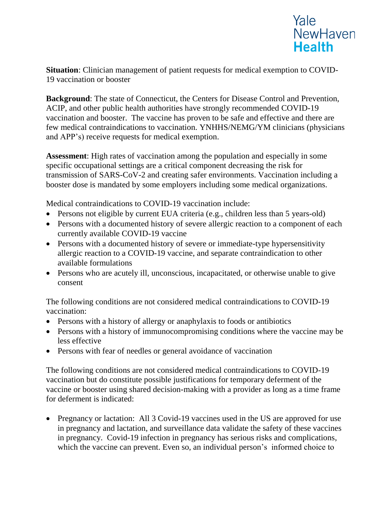

**Situation**: Clinician management of patient requests for medical exemption to COVID-19 vaccination or booster

**Background**: The state of Connecticut, the Centers for Disease Control and Prevention, ACIP, and other public health authorities have strongly recommended COVID-19 vaccination and booster. The vaccine has proven to be safe and effective and there are few medical contraindications to vaccination. YNHHS/NEMG/YM clinicians (physicians and APP's) receive requests for medical exemption.

**Assessment**: High rates of vaccination among the population and especially in some specific occupational settings are a critical component decreasing the risk for transmission of SARS-CoV-2 and creating safer environments. Vaccination including a booster dose is mandated by some employers including some medical organizations.

Medical contraindications to COVID-19 vaccination include:

- Persons not eligible by current EUA criteria (e.g., children less than 5 years-old)
- Persons with a documented history of severe allergic reaction to a component of each currently available COVID-19 vaccine
- Persons with a documented history of severe or immediate-type hypersensitivity allergic reaction to a COVID-19 vaccine, and separate contraindication to other available formulations
- Persons who are acutely ill, unconscious, incapacitated, or otherwise unable to give consent

The following conditions are not considered medical contraindications to COVID-19 vaccination:

- Persons with a history of allergy or anaphylaxis to foods or antibiotics
- Persons with a history of immunocompromising conditions where the vaccine may be less effective
- Persons with fear of needles or general avoidance of vaccination

The following conditions are not considered medical contraindications to COVID-19 vaccination but do constitute possible justifications for temporary deferment of the vaccine or booster using shared decision-making with a provider as long as a time frame for deferment is indicated:

• Pregnancy or lactation: All 3 Covid-19 vaccines used in the US are approved for use in pregnancy and lactation, and surveillance data validate the safety of these vaccines in pregnancy. Covid-19 infection in pregnancy has serious risks and complications, which the vaccine can prevent. Even so, an individual person's informed choice to